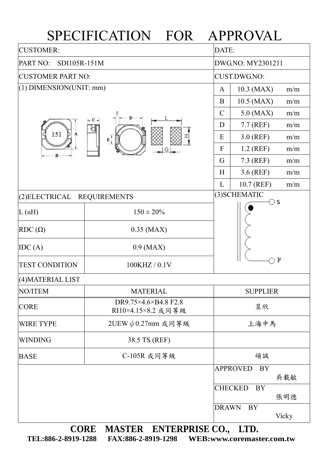## SPECIFICATION FOR APPROVAL

| <b>CUSTOMER:</b>            |                                            |                  | DATE:                        |       |  |  |
|-----------------------------|--------------------------------------------|------------------|------------------------------|-------|--|--|
| PART NO:<br>SDI105R-151M    |                                            |                  | DWG.NO: MY2301211            |       |  |  |
| <b>CUSTOMER PART NO:</b>    |                                            |                  | CUST.DWG.NO:                 |       |  |  |
| $(1)$ DIMENSION(UNIT: mm)   |                                            |                  | 10.3 (MAX)                   | m/m   |  |  |
|                             |                                            | B                | 10.5 (MAX)                   | m/m   |  |  |
|                             | $\mathcal{C}$                              | $5.0$ (MAX)      | m/m                          |       |  |  |
|                             | D                                          | 7.7 (REF)        | m/m                          |       |  |  |
| 151<br>A                    | $E_1$                                      | E                | $3.0$ (REF)                  | m/m   |  |  |
|                             |                                            | $\boldsymbol{F}$ | $1.2$ (REF)                  | m/m   |  |  |
|                             |                                            | G                | 7.3 (REF)                    | m/m   |  |  |
|                             |                                            | H                | 3.6 (REF)                    | m/m   |  |  |
|                             |                                            |                  | 10.7 (REF)                   | m/m   |  |  |
| (2) ELECTRICAL REQUIREMENTS |                                            |                  | (3) SCHEMATIC<br>$\supset$ S |       |  |  |
| L(uH)                       | $150 \pm 20\%$                             |                  |                              |       |  |  |
| $RDC(\Omega)$               | $0.35$ (MAX)                               |                  |                              |       |  |  |
| IDC(A)                      | $0.9$ (MAX)                                |                  |                              |       |  |  |
| <b>TEST CONDITION</b>       | 100KHZ / 0.1V                              |                  | $\bf{F}$                     |       |  |  |
| (4) MATERIAL LIST           |                                            |                  |                              |       |  |  |
| NO/ITEM                     | <b>MATERIAL</b>                            |                  | <b>SUPPLIER</b>              |       |  |  |
| <b>CORE</b>                 | DR9.75×4.6×B4.8 F2.8<br>RI10×4.15×8.2 或同等級 |                  | 昱欣                           |       |  |  |
| <b>WIRE TYPE</b>            | 2UEW ψ0.27mm 或同等級                          |                  | 上海中馬                         |       |  |  |
| <b>WINDING</b>              | 38.5 TS (REF)                              |                  |                              |       |  |  |
| <b>BASE</b>                 | C-105R 或同等級                                |                  | 碩誠                           |       |  |  |
|                             |                                            |                  | <b>APPROVED</b><br>BY        | 吳載敏   |  |  |
|                             |                                            |                  | <b>CHECKED</b><br><b>BY</b>  |       |  |  |
|                             |                                            |                  |                              | 張明德   |  |  |
|                             |                                            | <b>DRAWN</b>     | <b>BY</b>                    | Vicky |  |  |

**CORE MASTER ENTERPRISE CO., LTD. TEL:886-2-8919-1288 FAX:886-2-8919-1298 WEB:www.coremaster.com.tw**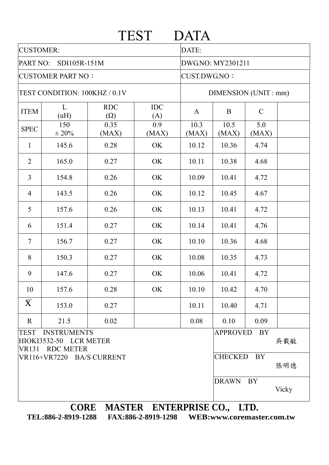|                               |                                                                 |                          | <b>TEST</b>       | <b>DATA</b>          |                 |               |       |  |
|-------------------------------|-----------------------------------------------------------------|--------------------------|-------------------|----------------------|-----------------|---------------|-------|--|
| <b>CUSTOMER:</b>              |                                                                 |                          |                   | DATE:                |                 |               |       |  |
| PART NO: SDI105R-151M         |                                                                 |                          |                   | DWG.NO: MY2301211    |                 |               |       |  |
| <b>CUSTOMER PART NO:</b>      |                                                                 |                          |                   | CUST.DWG.NO:         |                 |               |       |  |
| TEST CONDITION: 100KHZ / 0.1V |                                                                 |                          |                   | DIMENSION (UNIT: mm) |                 |               |       |  |
| <b>ITEM</b>                   | L<br>(uH)                                                       | <b>RDC</b><br>$(\Omega)$ | <b>IDC</b><br>(A) | $\mathbf{A}$         | B               | $\mathcal{C}$ |       |  |
| <b>SPEC</b>                   | 150<br>$\pm 20\%$                                               | 0.35<br>(MAX)            | 0.9<br>(MAX)      | 10.3<br>(MAX)        | 10.5<br>(MAX)   | 5.0<br>(MAX)  |       |  |
| $\mathbf{1}$                  | 145.6                                                           | 0.28                     | OK                | 10.12                | 10.36           | 4.74          |       |  |
| $\overline{2}$                | 165.0                                                           | 0.27                     | OK                | 10.11                | 10.38           | 4.68          |       |  |
| 3                             | 154.8                                                           | 0.26                     | OK                | 10.09                | 10.41           | 4.72          |       |  |
| $\overline{4}$                | 143.5                                                           | 0.26                     | OK                | 10.12                | 10.45           | 4.67          |       |  |
| 5                             | 157.6                                                           | 0.26                     | OK                | 10.13                | 10.41           | 4.72          |       |  |
| 6                             | 151.4                                                           | 0.27                     | OK                | 10.14                | 10.41           | 4.76          |       |  |
| $\overline{7}$                | 156.7                                                           | 0.27                     | OK                | 10.10                | 10.36           | 4.68          |       |  |
| 8                             | 150.3                                                           | 0.27                     | OK                | 10.08                | 10.35           | 4.73          |       |  |
| 9                             | 147.6                                                           | 0.27                     | OK                | 10.06                | 10.41           | 4.72          |       |  |
| 10                            | 157.6                                                           | 0.28                     | OK                | 10.10                | 10.42           | 4.70          |       |  |
| $\overline{\mathbf{X}}$       | 153.0                                                           | 0.27                     |                   | 10.11                | 10.40           | 4.71          |       |  |
| $\mathbf{R}$                  | 21.5                                                            | 0.02                     |                   | 0.08                 | 0.10            | 0.09          |       |  |
| <b>TEST</b>                   | <b>INSTRUMENTS</b><br>HIOKI3532-50 LCR METER<br>VR131 RDC METER |                          |                   |                      | <b>APPROVED</b> | BY            | 吳載敏   |  |
|                               | VR116+VR7220 BA/S CURRENT                                       |                          |                   |                      | CHECKED BY      |               | 張明德   |  |
|                               |                                                                 |                          |                   |                      | <b>DRAWN</b>    | BY            | Vicky |  |

**TEL:886-2-8919-1288 FAX:886-2-8919-1298 WEB:www.coremaster.com.tw**